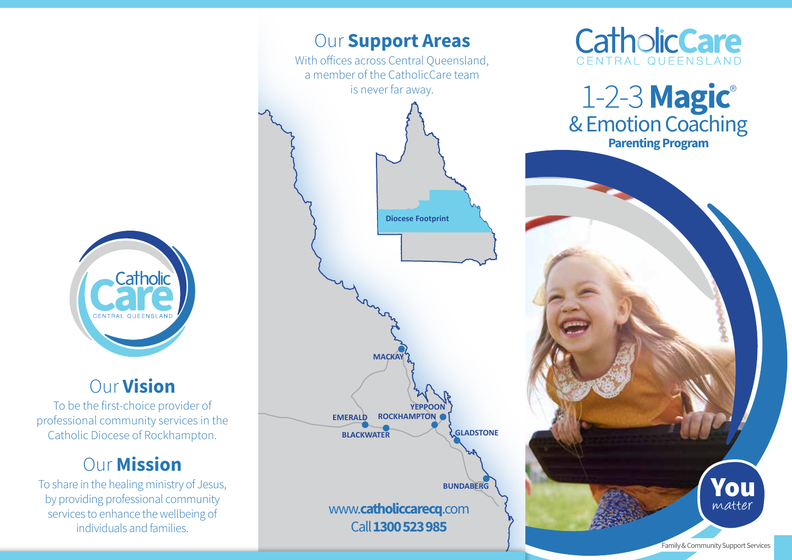

## Our Vision

To be the first-choice provider of professional community services in the Catholic Diocese of Rockhampton.

# **Our Mission**

To share in the healing ministry of Jesus, by providing professional community services to enhance the wellbeing of individuals and families.





# 1-2-3 Magic® & Emotion Coaching Parenting Program